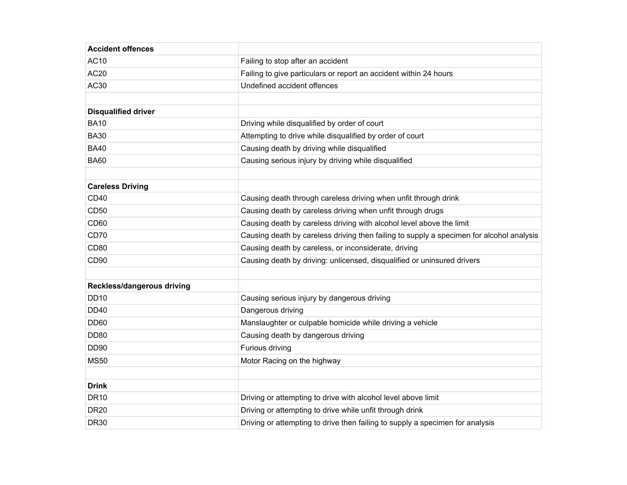| <b>Accident offences</b>   |                                                                                          |
|----------------------------|------------------------------------------------------------------------------------------|
| <b>AC10</b>                | Failing to stop after an accident                                                        |
| AC20                       | Failing to give particulars or report an accident within 24 hours                        |
| AC30                       | Undefined accident offences                                                              |
|                            |                                                                                          |
| <b>Disqualified driver</b> |                                                                                          |
| <b>BA10</b>                | Driving while disqualified by order of court                                             |
| <b>BA30</b>                | Attempting to drive while disqualified by order of court                                 |
| <b>BA40</b>                | Causing death by driving while disqualified                                              |
| <b>BA60</b>                | Causing serious injury by driving while disqualified                                     |
|                            |                                                                                          |
| <b>Careless Driving</b>    |                                                                                          |
| CD40                       | Causing death through careless driving when unfit through drink                          |
| <b>CD50</b>                | Causing death by careless driving when unfit through drugs                               |
| CD60                       | Causing death by careless driving with alcohol level above the limit                     |
| CD70                       | Causing death by careless driving then failing to supply a specimen for alcohol analysis |
| CD <sub>80</sub>           | Causing death by careless, or inconsiderate, driving                                     |
| CD <sub>90</sub>           | Causing death by driving: unlicensed, disqualified or uninsured drivers                  |
|                            |                                                                                          |
| Reckless/dangerous driving |                                                                                          |
| <b>DD10</b>                | Causing serious injury by dangerous driving                                              |
| <b>DD40</b>                | Dangerous driving                                                                        |
| <b>DD60</b>                | Manslaughter or culpable homicide while driving a vehicle                                |
| <b>DD80</b>                | Causing death by dangerous driving                                                       |
| <b>DD90</b>                | Furious driving                                                                          |
| <b>MS50</b>                | Motor Racing on the highway                                                              |
|                            |                                                                                          |
| <b>Drink</b>               |                                                                                          |
| <b>DR10</b>                | Driving or attempting to drive with alcohol level above limit                            |
| <b>DR20</b>                | Driving or attempting to drive while unfit through drink                                 |
| <b>DR30</b>                | Driving or attempting to drive then failing to supply a specimen for analysis            |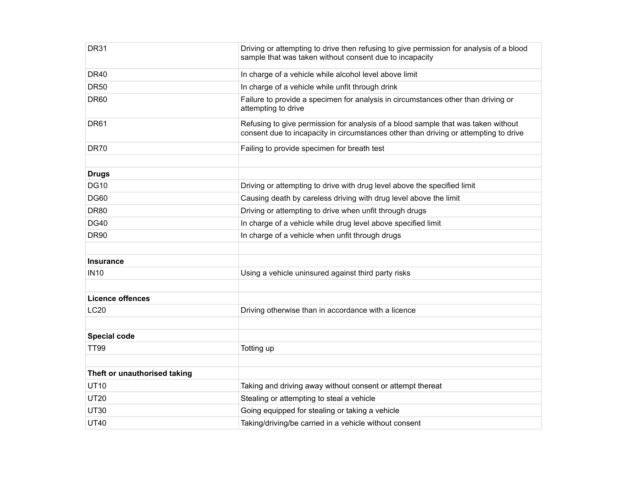| <b>DR31</b>                  | Driving or attempting to drive then refusing to give permission for analysis of a blood<br>sample that was taken without consent due to incapacity                        |
|------------------------------|---------------------------------------------------------------------------------------------------------------------------------------------------------------------------|
| <b>DR40</b>                  | In charge of a vehicle while alcohol level above limit                                                                                                                    |
| <b>DR50</b>                  | In charge of a vehicle while unfit through drink                                                                                                                          |
| <b>DR60</b>                  | Failure to provide a specimen for analysis in circumstances other than driving or<br>attempting to drive                                                                  |
| <b>DR61</b>                  | Refusing to give permission for analysis of a blood sample that was taken without<br>consent due to incapacity in circumstances other than driving or attempting to drive |
| <b>DR70</b>                  | Failing to provide specimen for breath test                                                                                                                               |
|                              |                                                                                                                                                                           |
| <b>Drugs</b>                 |                                                                                                                                                                           |
| <b>DG10</b>                  | Driving or attempting to drive with drug level above the specified limit                                                                                                  |
| <b>DG60</b>                  | Causing death by careless driving with drug level above the limit                                                                                                         |
| <b>DR80</b>                  | Driving or attempting to drive when unfit through drugs                                                                                                                   |
| <b>DG40</b>                  | In charge of a vehicle while drug level above specified limit                                                                                                             |
| <b>DR90</b>                  | In charge of a vehicle when unfit through drugs                                                                                                                           |
|                              |                                                                                                                                                                           |
| <b>Insurance</b>             |                                                                                                                                                                           |
| <b>IN10</b>                  | Using a vehicle uninsured against third party risks                                                                                                                       |
|                              |                                                                                                                                                                           |
| <b>Licence offences</b>      |                                                                                                                                                                           |
| <b>LC20</b>                  | Driving otherwise than in accordance with a licence                                                                                                                       |
|                              |                                                                                                                                                                           |
| <b>Special code</b>          |                                                                                                                                                                           |
| TT99                         | Totting up                                                                                                                                                                |
|                              |                                                                                                                                                                           |
| Theft or unauthorised taking |                                                                                                                                                                           |
| <b>UT10</b>                  | Taking and driving away without consent or attempt thereat                                                                                                                |
| <b>UT20</b>                  | Stealing or attempting to steal a vehicle                                                                                                                                 |
| <b>UT30</b>                  | Going equipped for stealing or taking a vehicle                                                                                                                           |
| <b>UT40</b>                  | Taking/driving/be carried in a vehicle without consent                                                                                                                    |